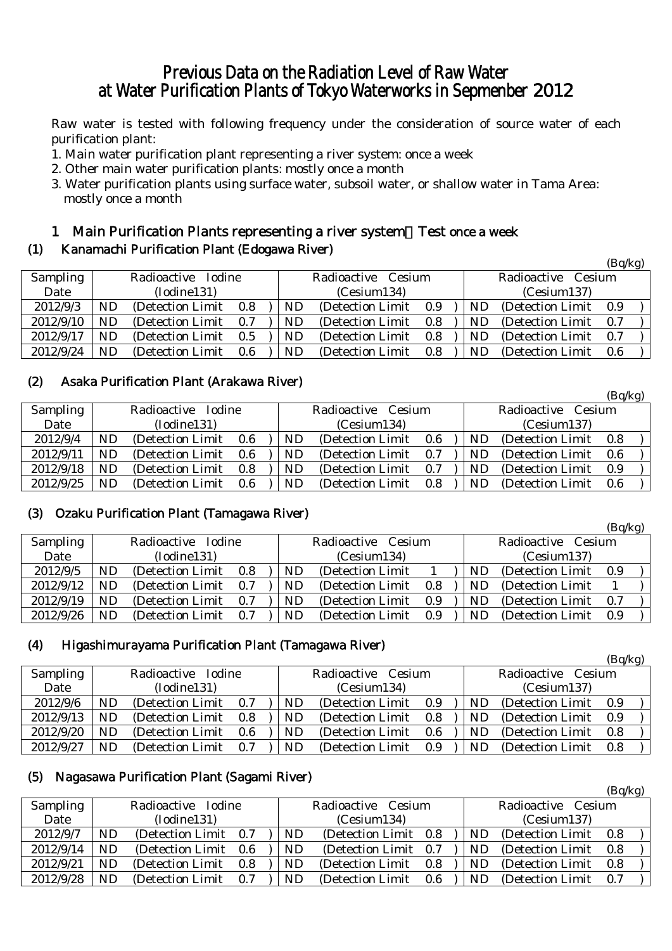# Previous Data on the Radiation Level of Raw Water at Water Purification Plants of Tokyo Waterworks in Sepmenber 2012

Raw water is tested with following frequency under the consideration of source water of each purification plant:

- 1. Main water purification plant representing a river system: once a week
- 2. Other main water purification plants: mostly once a month
- 3. Water purification plants using surface water, subsoil water, or shallow water in Tama Area: mostly once a month

### 1 Main Purification Plants representing a river system:Test once a week

#### (1) Kanamachi Purification Plant (Edogawa River)

|           |                    |                   |     |  |                    |                       |     |                    |     |                   | (Bq/kg) |  |
|-----------|--------------------|-------------------|-----|--|--------------------|-----------------------|-----|--------------------|-----|-------------------|---------|--|
| Sampling  | Radioactive Iodine |                   |     |  | Radioactive Cesium |                       |     | Radioactive Cesium |     |                   |         |  |
| Date      |                    | (Iodine131)       |     |  | (Cesium134)        |                       |     | (Cesium137)        |     |                   |         |  |
| 2012/9/3  | ND                 | (Detection Limit) | 0.8 |  | ND                 | (Detection Limit 0.9) |     |                    | ND. | (Detection Limit) | 0.9     |  |
| 2012/9/10 | ND.                | (Detection Limit) | 0.7 |  | ND.                | (Detection Limit)     | 0.8 |                    | ND. | (Detection Limit) | 0.7     |  |
| 2012/9/17 | ND.                | (Detection Limit) | 0.5 |  | ND                 | (Detection Limit)     | 0.8 |                    | ND. | (Detection Limit) | 0.7     |  |
| 2012/9/24 | ND                 | (Detection Limit) | 0.6 |  | ND                 | (Detection Limit)     | 0.8 |                    | ND  | (Detection Limit) | - 0.6   |  |

#### (2) Asaka Purification Plant (Arakawa River)

|                 |                       |                   |     |                    |                   |     |                       |                   | $(\mathbf{D}\mathbf{y})$ |  |
|-----------------|-----------------------|-------------------|-----|--------------------|-------------------|-----|-----------------------|-------------------|--------------------------|--|
| <b>Sampling</b> | Radioactive<br>Iodine |                   |     | Radioactive Cesium |                   |     | Radioactive<br>Cesium |                   |                          |  |
| Date            |                       | (Iodine131)       |     | (Cesium134)        |                   |     | (Cesium137)           |                   |                          |  |
| 2012/9/4        | ND.                   | (Detection Limit) | 0.6 | ND                 | (Detection Limit) | 0.6 | ND                    | (Detection Limit) | 0.8                      |  |
| 2012/9/11       | ND                    | (Detection Limit) | 0.6 | ND                 | (Detection Limit) | 0.7 | ND                    | (Detection Limit) | 0.6                      |  |
| 2012/9/18       | ND                    | (Detection Limit) | 0.8 | ND                 | (Detection Limit) | 0.7 | ND                    | (Detection Limit) | 0.9                      |  |
| 2012/9/25       | ND                    | (Detection Limit) | 0.6 | ND                 | (Detection Limit) | 0.8 | ND                    | (Detection Limit) | 0.6                      |  |

 $(R_0/k_0)$ 

 $(D_{\alpha}/k_{\alpha})$ 

 $(D_{\alpha}/k_{\alpha})$ 

 $(Ra/kq)$ 

## (3) Ozaku Purification Plant (Tamagawa River)

|                 |                              |                   |     |                              |                   |     |             |                       |                   | (Dq/kg) |  |
|-----------------|------------------------------|-------------------|-----|------------------------------|-------------------|-----|-------------|-----------------------|-------------------|---------|--|
| <b>Sampling</b> | Radioactive<br><b>Iodine</b> |                   |     | <b>Cesium</b><br>Radioactive |                   |     |             | Radioactive<br>Cesium |                   |         |  |
| Date            |                              | (Iodine131)       |     | (Cesium134)                  |                   |     | (Cesium137) |                       |                   |         |  |
| 2012/9/5        | ND                           | (Detection Limit) | 0.8 | ND                           | (Detection Limit) |     |             | ND                    | (Detection Limit) | 0.9     |  |
| 2012/9/12       | ND                           | (Detection Limit) | 0.7 | ND                           | (Detection Limit) | 0.8 |             | ND                    | (Detection Limit) |         |  |
| 2012/9/19       | ND                           | (Detection Limit) | 0.7 | ND                           | (Detection Limit) | 0.9 |             | ND                    | (Detection Limit) | 0.7     |  |
| 2012/9/26       | ND                           | (Detection Limit) | 0.7 | ND                           | (Detection Limit) | 0.9 |             | ND                    | (Detection Limit) | 0.9     |  |

#### (4) Higashimurayama Purification Plant (Tamagawa River)

|                 |                              |                   |     |                    |             |                   |     |                       |    |                   | (24.15) |  |
|-----------------|------------------------------|-------------------|-----|--------------------|-------------|-------------------|-----|-----------------------|----|-------------------|---------|--|
| <b>Sampling</b> | Radioactive<br><b>Iodine</b> |                   |     | Radioactive Cesium |             |                   |     | Radioactive<br>Cesium |    |                   |         |  |
| Date            |                              | (Iodine131)       |     |                    | (Cesium134) |                   |     | (Cesium137)           |    |                   |         |  |
| 2012/9/6        | ND                           | (Detection Limit) | 0.7 |                    | ND          | (Detection Limit) | 0.9 |                       | ND | (Detection Limit) | 0.9     |  |
| 2012/9/13       | ND                           | (Detection Limit) | 0.8 |                    | ND          | (Detection Limit) | 0.8 |                       | ND | (Detection Limit) | 0.9     |  |
| 2012/9/20       | ND                           | (Detection Limit) | 0.6 |                    | ND          | (Detection Limit) | 0.6 |                       | ND | (Detection Limit) | 0.8     |  |
| 2012/9/27       | ND                           | (Detection Limit) | 0.7 |                    | ND          | (Detection Limit) | 0.9 |                       | ND | (Detection Limit) | 0.8     |  |

#### (5) Nagasawa Purification Plant (Sagami River)

|           |                              |                   |     |                    |             |                   |                              |             |           |                   | $\mathbf{v}$ |  |
|-----------|------------------------------|-------------------|-----|--------------------|-------------|-------------------|------------------------------|-------------|-----------|-------------------|--------------|--|
| Sampling  | Radioactive<br><b>Iodine</b> |                   |     | Radioactive Cesium |             |                   | Radioactive<br><b>Cesium</b> |             |           |                   |              |  |
| Date      |                              | (Iodine131)       |     |                    | (Cesium134) |                   |                              | (Cesium137) |           |                   |              |  |
| 2012/9/7  | ND                           | (Detection Limit) | 0.7 |                    | ND          | (Detection Limit) | 0.8                          |             | ND.       | (Detection Limit) | 0.8          |  |
| 2012/9/14 | ND                           | (Detection Limit) | 0.6 |                    | ND          | (Detection Limit) | 0.7                          |             | ND.       | (Detection Limit) | 0.8          |  |
| 2012/9/21 | ND                           | (Detection Limit) | 0.8 |                    | ND          | (Detection Limit) | 0.8                          |             | <b>ND</b> | (Detection Limit) | 0.8          |  |
| 2012/9/28 | ND.                          | (Detection Limit) | 0.7 |                    | ND          | (Detection Limit) | $0.6\,$                      |             | ND        | (Detection Limit) | 0.7          |  |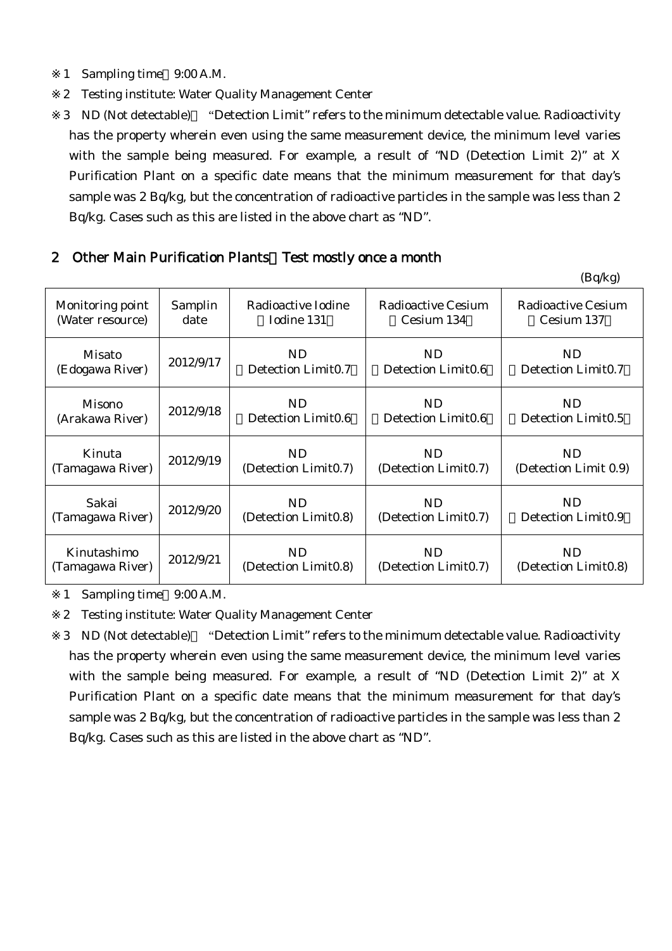- 1 Sampling time 9:00 A.M.
- 2 Testing institute: Water Quality Management Center

3 ND (Not detectable) "Detection Limit" refers to the minimum detectable value. Radioactivity has the property wherein even using the same measurement device, the minimum level varies with the sample being measured. For example, a result of "ND (Detection Limit 2)" at X Purification Plant on a specific date means that the minimum measurement for that day's sample was 2 Bq/kg, but the concentration of radioactive particles in the sample was less than 2 Bq/kg. Cases such as this are listed in the above chart as "ND".

#### 2 Other Main Purification Plants Test mostly once a month

|                  |           |                                |                                | (Bq/kg)                        |
|------------------|-----------|--------------------------------|--------------------------------|--------------------------------|
| Monitoring point | Samplin   | Radioactive Iodine             | Radioactive Cesium             | Radioactive Cesium             |
| (Water resource) | date      | Iodine 131                     | Cesium 134                     | Cesium 137                     |
| Misato           | 2012/9/17 | <b>ND</b>                      | ND                             | ND                             |
| (Edogawa River)  |           | Detection Limit0.7             | Detection Limit <sub>0.6</sub> | Detection Limit0.7             |
| Misono           | 2012/9/18 | ND                             | <b>ND</b>                      | ND                             |
| (Arakawa River)  |           | Detection Limit <sub>0.6</sub> | Detection Limit <sub>0.6</sub> | Detection Limit <sub>0.5</sub> |
| Kinuta           | 2012/9/19 | <b>ND</b>                      | <b>ND</b>                      | ND                             |
| (Tamagawa River) |           | (Detection Limit0.7)           | (Detection Limit0.7)           | (Detection Limit 0.9)          |
| Sakai            | 2012/9/20 | <b>ND</b>                      | <b>ND</b>                      | ND                             |
| (Tamagawa River) |           | (Detection Limit0.8)           | (Detection Limit0.7)           | Detection Limit0.9             |
| Kinutashimo      | 2012/9/21 | ND.                            | ND                             | ND                             |
| (Tamagawa River) |           | (Detection Limit0.8)           | (Detection Limit0.7)           | (Detection Limit0.8)           |

1 Sampling time 9:00 A.M.

2 Testing institute: Water Quality Management Center

3 ND (Not detectable) "Detection Limit" refers to the minimum detectable value. Radioactivity has the property wherein even using the same measurement device, the minimum level varies with the sample being measured. For example, a result of "ND (Detection Limit 2)" at X Purification Plant on a specific date means that the minimum measurement for that day's sample was 2 Bq/kg, but the concentration of radioactive particles in the sample was less than 2 Bq/kg. Cases such as this are listed in the above chart as "ND".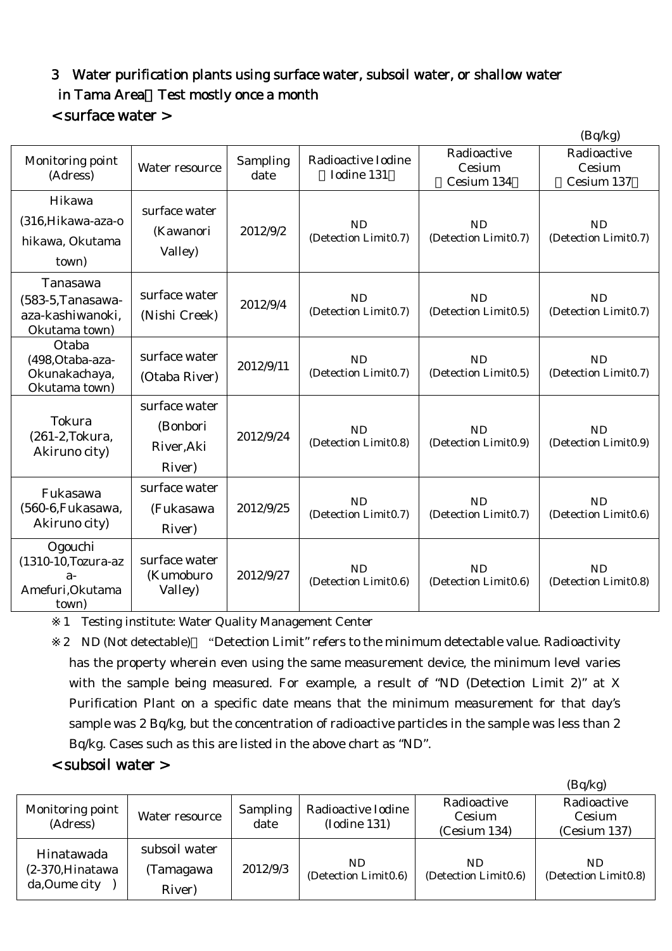# 3 Water purification plants using surface water, subsoil water, or shallow water in Tama Area Test mostly once a month

# < surface water >

|                                                                     |                                                   |                  |                                   |                                     | (Bq/kg)                             |
|---------------------------------------------------------------------|---------------------------------------------------|------------------|-----------------------------------|-------------------------------------|-------------------------------------|
| Monitoring point<br>(Adress)                                        | Water resource                                    | Sampling<br>date | Radioactive Iodine<br>Iodine 131  | Radioactive<br>Cesium<br>Cesium 134 | Radioactive<br>Cesium<br>Cesium 137 |
| Hikawa<br>(316, Hikawa-aza-o<br>hikawa, Okutama<br>town)            | surface water<br>(Kawanori<br>Valley)             | 2012/9/2         | <b>ND</b><br>(Detection Limit0.7) | ND<br>(Detection Limit0.7)          | <b>ND</b><br>(Detection Limit0.7)   |
| Tanasawa<br>(583-5, Tanasawa-<br>aza-kashiwanoki,<br>Okutama town)  | surface water<br>(Nishi Creek)                    | 2012/9/4         | ND<br>(Detection Limit0.7)        | <b>ND</b><br>(Detection Limit0.5)   | <b>ND</b><br>(Detection Limit0.7)   |
| Otaba<br>(498, Otaba-aza-<br>Okunakachaya,<br>Okutama town)         | surface water<br>(Otaba River)                    | 2012/9/11        | <b>ND</b><br>(Detection Limit0.7) | <b>ND</b><br>(Detection Limit0.5)   | <b>ND</b><br>(Detection Limit0.7)   |
| Tokura<br>(261-2, Tokura,<br>Akiruno city)                          | surface water<br>(Bonbori<br>River, Aki<br>River) | 2012/9/24        | <b>ND</b><br>(Detection Limit0.8) | <b>ND</b><br>(Detection Limit0.9)   | <b>ND</b><br>(Detection Limit0.9)   |
| Fukasawa<br>(560-6, Fukasawa,<br>Akiruno city)                      | surface water<br>(Fukasawa<br>River)              | 2012/9/25        | <b>ND</b><br>(Detection Limit0.7) | <b>ND</b><br>(Detection Limit0.7)   | <b>ND</b><br>(Detection Limit0.6)   |
| Ogouchi<br>(1310-10, Tozura-az<br>$a-$<br>Amefuri, Okutama<br>town) | surface water<br>(Kumoburo<br>Valley)             | 2012/9/27        | <b>ND</b><br>(Detection Limit0.6) | ND<br>(Detection Limit0.6)          | <b>ND</b><br>(Detection Limit0.8)   |

1 Testing institute: Water Quality Management Center

2 ND (Not detectable) "Detection Limit" refers to the minimum detectable value. Radioactivity has the property wherein even using the same measurement device, the minimum level varies with the sample being measured. For example, a result of "ND (Detection Limit 2)" at X Purification Plant on a specific date means that the minimum measurement for that day's sample was 2 Bq/kg, but the concentration of radioactive particles in the sample was less than 2 Bq/kg. Cases such as this are listed in the above chart as "ND".

#### < subsoil water >

|                                                   |                                      |                  |                                    |                                       | (Bq/kg)                               |
|---------------------------------------------------|--------------------------------------|------------------|------------------------------------|---------------------------------------|---------------------------------------|
| Monitoring point<br>(Adress)                      | Water resource                       | Sampling<br>date | Radioactive Iodine<br>(Iodine 131) | Radioactive<br>Cesium<br>(Cesium 134) | Radioactive<br>Cesium<br>(Cesium 137) |
| Hinatawada<br>$(2-370)$ Hinatawa<br>da, Oume city | subsoil water<br>(Tamagawa<br>River) | 2012/9/3         | ND.<br>(Detection Limit0.6)        | ND.<br>(Detection Limit0.6)           | ND.<br>(Detection Limit0.8)           |